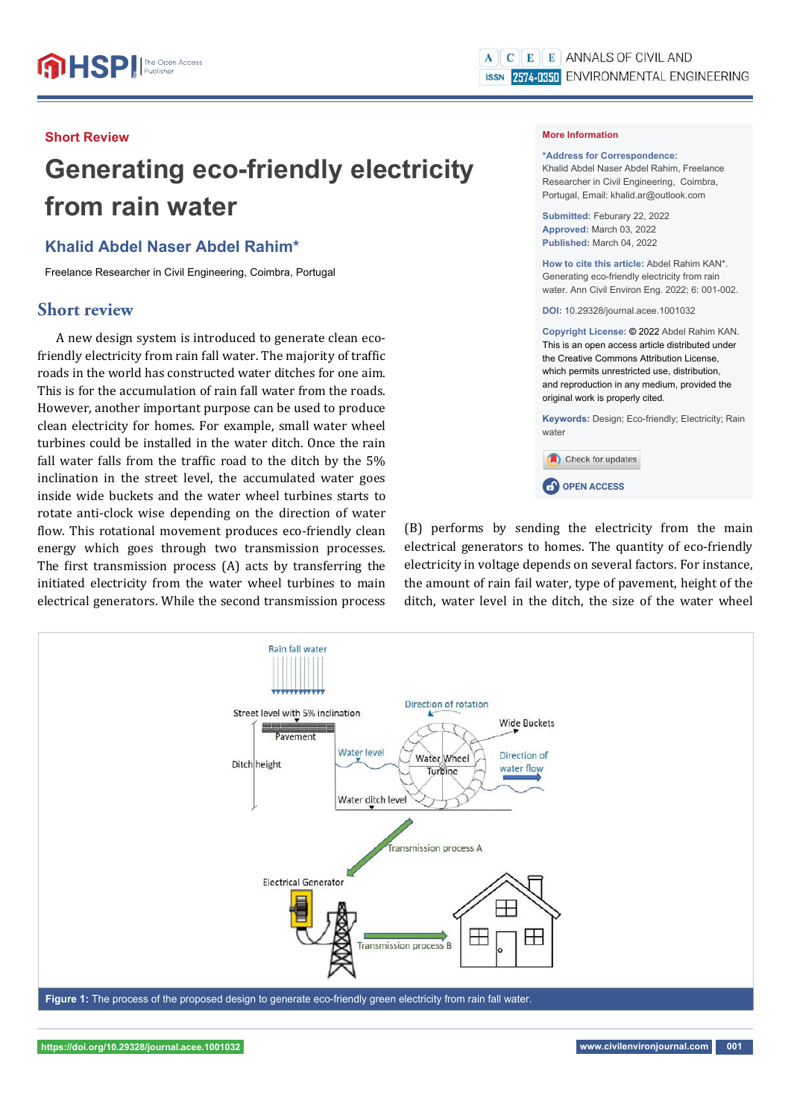#### **Short Review**

# **Generating eco-friendly electricity from rain water**

## **Khalid Abdel Naser Abdel Rahim\***

Freelance Researcher in Civil Engineering, Coimbra, Portugal

### **Short review**

A new design system is introduced to generate clean ecofriendly electricity from rain fall water. The majority of traffic roads in the world has constructed water ditches for one aim. This is for the accumulation of rain fall water from the roads. However, another important purpose can be used to produce clean electricity for homes. For example, small water wheel turbines could be installed in the water ditch. Once the rain fall water falls from the traffic road to the ditch by the  $5%$ inclination in the street level, the accumulated water goes inside wide buckets and the water wheel turbines starts to rotate anti-clock wise depending on the direction of water flow. This rotational movement produces eco-friendly clean energy which goes through two transmission processes. The first transmission process (A) acts by transferring the initiated electricity from the water wheel turbines to main electrical generators. While the second transmission process

#### **More Information**

**\*Address for Correspondence:**  Khalid Abdel Naser Abdel Rahim, Freelance Researcher in Civil Engineering, Coimbra, Portugal, Email: khalid.ar@outlook.com

**Submitted:** Feburary 22, 2022 **Approved:** March 03, 2022 **Published:** March 04, 2022

**How to cite this article:** Abdel Rahim KAN\*. Generating eco-friendly electricity from rain water. Ann Civil Environ Eng. 2022; 6: 001-002.

**DOI:** 10.29328/journal.acee.1001032

**Copyright License: ©** 2022 Abdel Rahim KAN. This is an open access article distributed under the Creative Commons Attribution License, which permits unrestricted use, distribution, and reproduction in any medium, provided the original work is properly cited.

**Keywords:** Design; Eco-friendly; Electricity; Rain water



**CP** OPEN ACCESS

(B) performs by sending the electricity from the main electrical generators to homes. The quantity of eco-friendly electricity in voltage depends on several factors. For instance, the amount of rain fail water, type of pavement, height of the ditch, water level in the ditch, the size of the water wheel